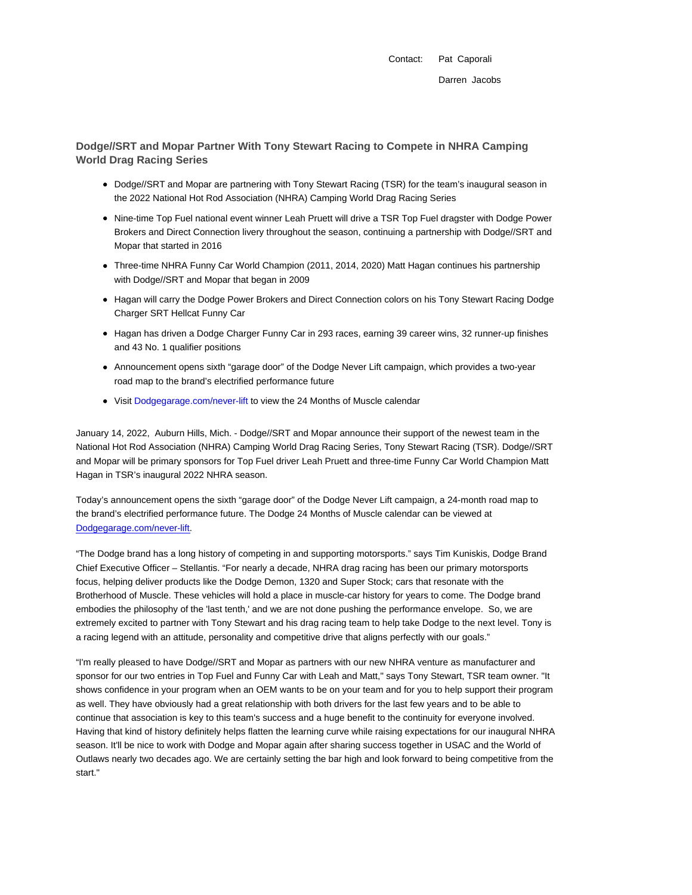**Dodge//SRT and Mopar Partner With Tony Stewart Racing to Compete in NHRA Camping World Drag Racing Series**

- Dodge//SRT and Mopar are partnering with Tony Stewart Racing (TSR) for the team's inaugural season in the 2022 National Hot Rod Association (NHRA) Camping World Drag Racing Series
- Nine-time Top Fuel national event winner Leah Pruett will drive a TSR Top Fuel dragster with Dodge Power Brokers and Direct Connection livery throughout the season, continuing a partnership with Dodge//SRT and Mopar that started in 2016
- Three-time NHRA Funny Car World Champion (2011, 2014, 2020) Matt Hagan continues his partnership with Dodge//SRT and Mopar that began in 2009
- Hagan will carry the Dodge Power Brokers and Direct Connection colors on his Tony Stewart Racing Dodge Charger SRT Hellcat Funny Car
- Hagan has driven a Dodge Charger Funny Car in 293 races, earning 39 career wins, 32 runner-up finishes and 43 No. 1 qualifier positions
- Announcement opens sixth "garage door" of the Dodge Never Lift campaign, which provides a two-year road map to the brand's electrified performance future
- Visit Dodgegarage.com/never-lift to view the 24 Months of Muscle calendar

January 14, 2022, Auburn Hills, Mich. - Dodge//SRT and Mopar announce their support of the newest team in the National Hot Rod Association (NHRA) Camping World Drag Racing Series, Tony Stewart Racing (TSR). Dodge//SRT and Mopar will be primary sponsors for Top Fuel driver Leah Pruett and three-time Funny Car World Champion Matt Hagan in TSR's inaugural 2022 NHRA season.

Today's announcement opens the sixth "garage door" of the Dodge Never Lift campaign, a 24-month road map to the brand's electrified performance future. The Dodge 24 Months of Muscle calendar can be viewed at Dodgegarage.com/never-lift.

"The Dodge brand has a long history of competing in and supporting motorsports." says Tim Kuniskis, Dodge Brand Chief Executive Officer – Stellantis. "For nearly a decade, NHRA drag racing has been our primary motorsports focus, helping deliver products like the Dodge Demon, 1320 and Super Stock; cars that resonate with the Brotherhood of Muscle. These vehicles will hold a place in muscle-car history for years to come. The Dodge brand embodies the philosophy of the 'last tenth,' and we are not done pushing the performance envelope. So, we are extremely excited to partner with Tony Stewart and his drag racing team to help take Dodge to the next level. Tony is a racing legend with an attitude, personality and competitive drive that aligns perfectly with our goals."

"I'm really pleased to have Dodge//SRT and Mopar as partners with our new NHRA venture as manufacturer and sponsor for our two entries in Top Fuel and Funny Car with Leah and Matt," says Tony Stewart, TSR team owner. "It shows confidence in your program when an OEM wants to be on your team and for you to help support their program as well. They have obviously had a great relationship with both drivers for the last few years and to be able to continue that association is key to this team's success and a huge benefit to the continuity for everyone involved. Having that kind of history definitely helps flatten the learning curve while raising expectations for our inaugural NHRA season. It'll be nice to work with Dodge and Mopar again after sharing success together in USAC and the World of Outlaws nearly two decades ago. We are certainly setting the bar high and look forward to being competitive from the start."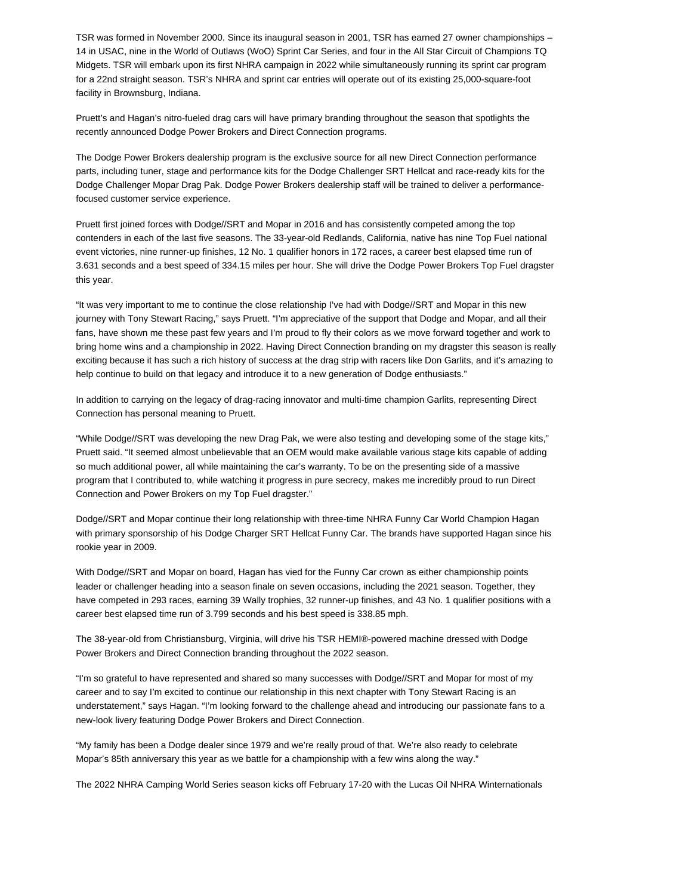TSR was formed in November 2000. Since its inaugural season in 2001, TSR has earned 27 owner championships – 14 in USAC, nine in the World of Outlaws (WoO) Sprint Car Series, and four in the All Star Circuit of Champions TQ Midgets. TSR will embark upon its first NHRA campaign in 2022 while simultaneously running its sprint car program for a 22nd straight season. TSR's NHRA and sprint car entries will operate out of its existing 25,000-square-foot facility in Brownsburg, Indiana.

Pruett's and Hagan's nitro-fueled drag cars will have primary branding throughout the season that spotlights the recently announced Dodge Power Brokers and Direct Connection programs.

The Dodge Power Brokers dealership program is the exclusive source for all new Direct Connection performance parts, including tuner, stage and performance kits for the Dodge Challenger SRT Hellcat and race-ready kits for the Dodge Challenger Mopar Drag Pak. Dodge Power Brokers dealership staff will be trained to deliver a performancefocused customer service experience.

Pruett first joined forces with Dodge//SRT and Mopar in 2016 and has consistently competed among the top contenders in each of the last five seasons. The 33-year-old Redlands, California, native has nine Top Fuel national event victories, nine runner-up finishes, 12 No. 1 qualifier honors in 172 races, a career best elapsed time run of 3.631 seconds and a best speed of 334.15 miles per hour. She will drive the Dodge Power Brokers Top Fuel dragster this year.

"It was very important to me to continue the close relationship I've had with Dodge//SRT and Mopar in this new journey with Tony Stewart Racing," says Pruett. "I'm appreciative of the support that Dodge and Mopar, and all their fans, have shown me these past few years and I'm proud to fly their colors as we move forward together and work to bring home wins and a championship in 2022. Having Direct Connection branding on my dragster this season is really exciting because it has such a rich history of success at the drag strip with racers like Don Garlits, and it's amazing to help continue to build on that legacy and introduce it to a new generation of Dodge enthusiasts."

In addition to carrying on the legacy of drag-racing innovator and multi-time champion Garlits, representing Direct Connection has personal meaning to Pruett.

"While Dodge//SRT was developing the new Drag Pak, we were also testing and developing some of the stage kits," Pruett said. "It seemed almost unbelievable that an OEM would make available various stage kits capable of adding so much additional power, all while maintaining the car's warranty. To be on the presenting side of a massive program that I contributed to, while watching it progress in pure secrecy, makes me incredibly proud to run Direct Connection and Power Brokers on my Top Fuel dragster."

Dodge//SRT and Mopar continue their long relationship with three-time NHRA Funny Car World Champion Hagan with primary sponsorship of his Dodge Charger SRT Hellcat Funny Car. The brands have supported Hagan since his rookie year in 2009.

With Dodge//SRT and Mopar on board, Hagan has vied for the Funny Car crown as either championship points leader or challenger heading into a season finale on seven occasions, including the 2021 season. Together, they have competed in 293 races, earning 39 Wally trophies, 32 runner-up finishes, and 43 No. 1 qualifier positions with a career best elapsed time run of 3.799 seconds and his best speed is 338.85 mph.

The 38-year-old from Christiansburg, Virginia, will drive his TSR HEMI®-powered machine dressed with Dodge Power Brokers and Direct Connection branding throughout the 2022 season.

"I'm so grateful to have represented and shared so many successes with Dodge//SRT and Mopar for most of my career and to say I'm excited to continue our relationship in this next chapter with Tony Stewart Racing is an understatement," says Hagan. "I'm looking forward to the challenge ahead and introducing our passionate fans to a new-look livery featuring Dodge Power Brokers and Direct Connection.

"My family has been a Dodge dealer since 1979 and we're really proud of that. We're also ready to celebrate Mopar's 85th anniversary this year as we battle for a championship with a few wins along the way."

The 2022 NHRA Camping World Series season kicks off February 17-20 with the Lucas Oil NHRA Winternationals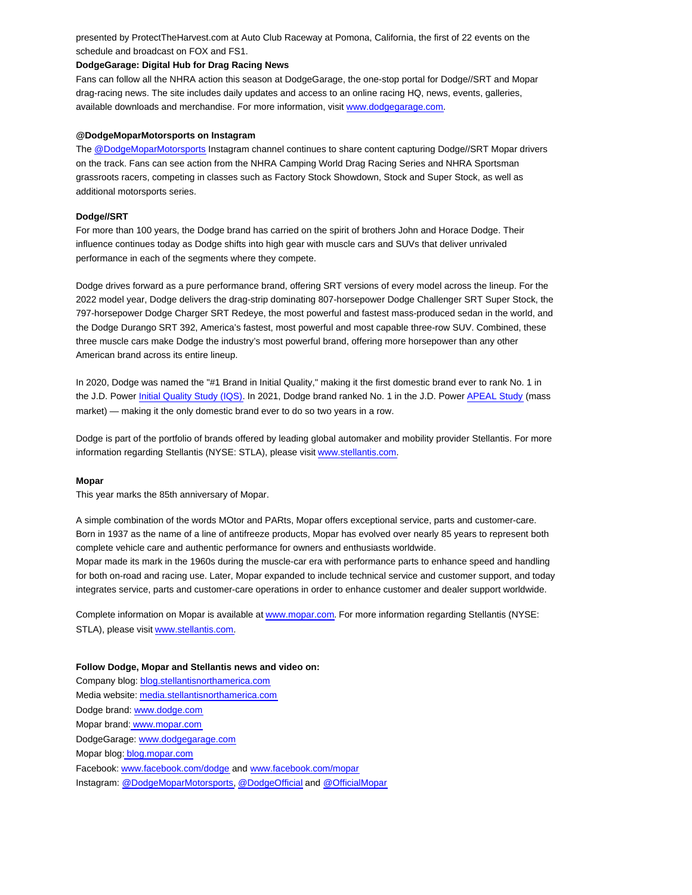presented by ProtectTheHarvest.com at Auto Club Raceway at Pomona, California, the first of 22 events on the schedule and broadcast on FOX and FS1.

# **DodgeGarage: Digital Hub for Drag Racing News**

Fans can follow all the NHRA action this season at DodgeGarage, the one-stop portal for Dodge//SRT and Mopar drag-racing news. The site includes daily updates and access to an online racing HQ, news, events, galleries, available downloads and merchandise. For more information, visit www.dodgegarage.com.

### **@DodgeMoparMotorsports on Instagram**

The @DodgeMoparMotorsports Instagram channel continues to share content capturing Dodge//SRT Mopar drivers on the track. Fans can see action from the NHRA Camping World Drag Racing Series and NHRA Sportsman grassroots racers, competing in classes such as Factory Stock Showdown, Stock and Super Stock, as well as additional motorsports series.

# **Dodge//SRT**

For more than 100 years, the Dodge brand has carried on the spirit of brothers John and Horace Dodge. Their influence continues today as Dodge shifts into high gear with muscle cars and SUVs that deliver unrivaled performance in each of the segments where they compete.

Dodge drives forward as a pure performance brand, offering SRT versions of every model across the lineup. For the 2022 model year, Dodge delivers the drag-strip dominating 807-horsepower Dodge Challenger SRT Super Stock, the 797-horsepower Dodge Charger SRT Redeye, the most powerful and fastest mass-produced sedan in the world, and the Dodge Durango SRT 392, America's fastest, most powerful and most capable three-row SUV. Combined, these three muscle cars make Dodge the industry's most powerful brand, offering more horsepower than any other American brand across its entire lineup.

In 2020, Dodge was named the "#1 Brand in Initial Quality," making it the first domestic brand ever to rank No. 1 in the J.D. Power Initial Quality Study (IQS). In 2021, Dodge brand ranked No. 1 in the J.D. Power APEAL Study (mass market) — making it the only domestic brand ever to do so two years in a row.

Dodge is part of the portfolio of brands offered by leading global automaker and mobility provider Stellantis. For more information regarding Stellantis (NYSE: STLA), please visit www.stellantis.com.

### **Mopar**

This year marks the 85th anniversary of Mopar.

A simple combination of the words MOtor and PARts, Mopar offers exceptional service, parts and customer-care. Born in 1937 as the name of a line of antifreeze products, Mopar has evolved over nearly 85 years to represent both complete vehicle care and authentic performance for owners and enthusiasts worldwide.

Mopar made its mark in the 1960s during the muscle-car era with performance parts to enhance speed and handling for both on-road and racing use. Later, Mopar expanded to include technical service and customer support, and today integrates service, parts and customer-care operations in order to enhance customer and dealer support worldwide.

Complete information on Mopar is available at www.mopar.com. For more information regarding Stellantis (NYSE: STLA), please visit www.stellantis.com.

# **Follow Dodge, Mopar and Stellantis news and video on:**

Company blog: blog.stellantisnorthamerica.com Media website: media.stellantisnorthamerica.com Dodge brand: www.dodge.com Mopar brand: www.mopar.com DodgeGarage: www.dodgegarage.com Mopar blog: blog.mopar.com Facebook: www.facebook.com/dodge and www.facebook.com/mopar Instagram: @DodgeMoparMotorsports, @DodgeOfficial and @OfficialMopar